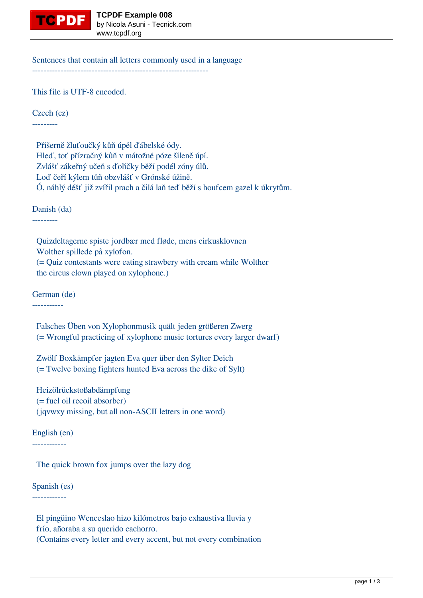

Sentences that contain all letters commonly used in a language --------------------------------------------------------------

This file is UTF-8 encoded.

Czech (cz)

---------

 Příšerně žluťoučký kůň úpěl ďábelské ódy. Hleď, toť přízračný kůň v mátožné póze šíleně úpí. Zvlášť zákeřný učeň s ďolíčky běží podél zóny úlů. Loď čeří kýlem tůň obzvlášť v Grónské úžině. Ó, náhlý déšť již zvířil prach a čilá laň teď běží s houfcem gazel k úkrytům.

Danish (da)

---------

 Quizdeltagerne spiste jordbær med fløde, mens cirkusklovnen Wolther spillede på xylofon.

 (= Quiz contestants were eating strawbery with cream while Wolther the circus clown played on xylophone.)

German (de)

-----------

 Falsches Üben von Xylophonmusik quält jeden größeren Zwerg (= Wrongful practicing of xylophone music tortures every larger dwarf)

 Zwölf Boxkämpfer jagten Eva quer über den Sylter Deich (= Twelve boxing fighters hunted Eva across the dike of Sylt)

 Heizölrückstoßabdämpfung (= fuel oil recoil absorber) (jqvwxy missing, but all non-ASCII letters in one word)

English (en) ------------

The quick brown fox jumps over the lazy dog

Spanish (es) ------------

> El pingüino Wenceslao hizo kilómetros bajo exhaustiva lluvia y frío, añoraba a su querido cachorro. (Contains every letter and every accent, but not every combination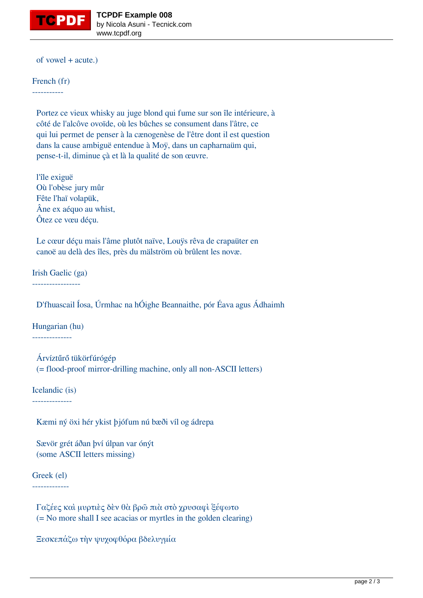

of vowel + acute.)

French (fr) -----------

> Portez ce vieux whisky au juge blond qui fume sur son île intérieure, à côté de l'alcôve ovoïde, où les bûches se consument dans l'âtre, ce qui lui permet de penser à la cænogenèse de l'être dont il est question dans la cause ambiguë entendue à Moÿ, dans un capharnaüm qui, pense-t-il, diminue çà et là la qualité de son œuvre.

 l'île exiguë Où l'obèse jury mûr Fête l'haï volapük, Âne ex aéquo au whist, Ôtez ce vœu déçu.

 Le cœur déçu mais l'âme plutôt naïve, Louÿs rêva de crapaüter en canoë au delà des îles, près du mälström où brûlent les novæ.

Irish Gaelic (ga)

-----------------

D'fhuascail Íosa, Úrmhac na hÓighe Beannaithe, pór Éava agus Ádhaimh

Hungarian (hu)

--------------

 Árvíztűrő tükörfúrógép (= flood-proof mirror-drilling machine, only all non-ASCII letters)

Icelandic (is)

--------------

Kæmi ný öxi hér ykist þjófum nú bæði víl og ádrepa

 Sævör grét áðan því úlpan var ónýt (some ASCII letters missing)

Greek (el)

-------------

 Γαζέες καὶ μυρτιὲς δὲν θὰ βρῶ πιὰ στὸ χρυσαφὶ ξέφωτο (= No more shall I see acacias or myrtles in the golden clearing)

Ξεσκεπάζω τὴν ψυχοφθόρα βδελυγμία